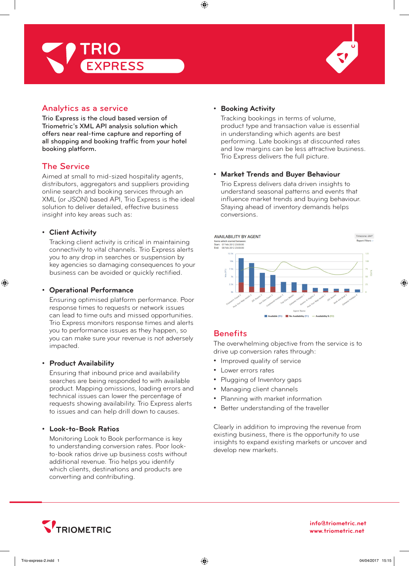



## Analytics as a service

Trio Express is the cloud based version of Triometric's XML API analysis solution which offers near real-time capture and reporting of all shopping and booking traffic from your hotel booking platform**.**

## The Service

Aimed at small to mid-sized hospitality agents, distributors, aggregators and suppliers providing online search and booking services through an XML (or JSON) based API, Trio Express is the ideal solution to deliver detailed, effective business insight into key areas such as:

### **• Client Activity**

Tracking client activity is critical in maintaining connectivity to vital channels. Trio Express alerts you to any drop in searches or suspension by key agencies so damaging consequences to your business can be avoided or quickly rectified.

### **• Operational Performance**

Ensuring optimised platform performance. Poor response times to requests or network issues can lead to time outs and missed opportunities. Trio Express monitors response times and alerts you to performance issues as they happen, so you can make sure your revenue is not adversely impacted.

#### **• Product Availability**

Ensuring that inbound price and availability searches are being responded to with available product. Mapping omissions, loading errors and technical issues can lower the percentage of requests showing availability. Trio Express alerts to issues and can help drill down to causes.

### **• Look-to-Book Ratios**

Monitoring Look to Book performance is key to understanding conversion rates. Poor lookto-book ratios drive up business costs without additional revenue. Trio helps you identify which clients, destinations and products are converting and contributing.

### **• Booking Activity**

Tracking bookings in terms of volume, product type and transaction value is essential in understanding which agents are best performing. Late bookings at discounted rates and low margins can be less attractive business. Trio Express delivers the full picture.

#### **• Market Trends and Buyer Behaviour**

Trio Express delivers data driven insights to understand seasonal patterns and events that influence market trends and buying behaviour. Staying ahead of inventory demands helps conversions.



## **Benefits**

The overwhelming objective from the service is to drive up conversion rates through:

- Improved quality of service
- Lower errors rates
- Plugging of Inventory gaps
- Managing client channels
- Planning with market information
- Better understanding of the traveller

Clearly in addition to improving the revenue from existing business, there is the opportunity to use insights to expand existing markets or uncover and develop new markets.